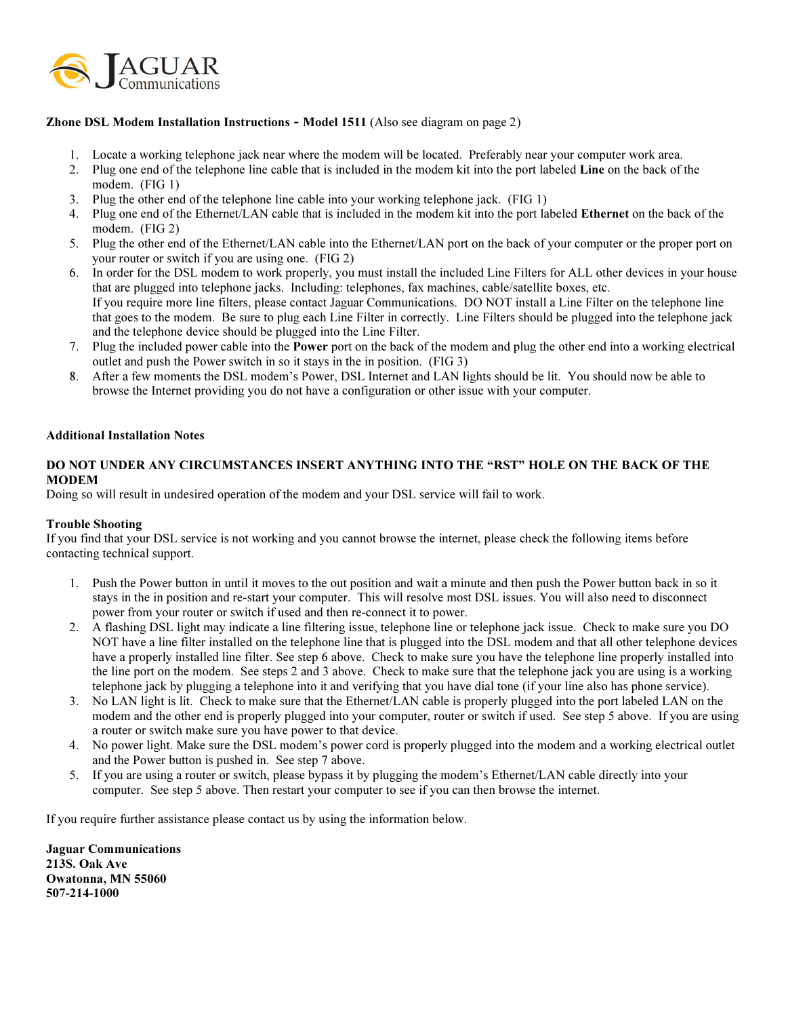

## Zhone DSL Modem Installation Instructions - Model 1511 (Also see diagram on page 2)

- 1. Locate a working telephone jack near where the modem will be located. Preferably near your computer work area.
- 2. Plug one end of the telephone line cable that is included in the modem kit into the port labeled Line on the back of the modem. (FIG 1)
- 3. Plug the other end of the telephone line cable into your working telephone jack. (FIG 1)
- 4. Plug one end of the Ethernet/LAN cable that is included in the modem kit into the port labeled Ethernet on the back of the modem. (FIG 2)
- 5. Plug the other end of the Ethernet/LAN cable into the Ethernet/LAN port on the back of your computer or the proper port on your router or switch if you are using one. (FIG 2)
- 6. In order for the DSL modem to work properly, you must install the included Line Filters for ALL other devices in your house that are plugged into telephone jacks. Including: telephones, fax machines, cable/satellite boxes, etc. If you require more line filters, please contact Jaguar Communications. DO NOT install a Line Filter on the telephone line that goes to the modem. Be sure to plug each Line Filter in correctly. Line Filters should be plugged into the telephone jack and the telephone device should be plugged into the Line Filter.
- 7. Plug the included power cable into the Power port on the back of the modem and plug the other end into a working electrical outlet and push the Power switch in so it stays in the in position. (FIG 3)
- 8. After a few moments the DSL modem's Power, DSL Internet and LAN lights should be lit. You should now be able to browse the Internet providing you do not have a configuration or other issue with your computer.

## Additional Installation Notes

## DO NOT UNDER ANY CIRCUMSTANCES INSERT ANYTHING INTO THE "RST" HOLE ON THE BACK OF THE MODEM

Doing so will result in undesired operation of the modem and your DSL service will fail to work.

## Trouble Shooting

If you find that your DSL service is not working and you cannot browse the internet, please check the following items before contacting technical support.

- 1. Push the Power button in until it moves to the out position and wait a minute and then push the Power button back in so it stays in the in position and re-start your computer. This will resolve most DSL issues. You will also need to disconnect power from your router or switch if used and then re-connect it to power.
- 2. A flashing DSL light may indicate a line filtering issue, telephone line or telephone jack issue. Check to make sure you DO NOT have a line filter installed on the telephone line that is plugged into the DSL modem and that all other telephone devices have a properly installed line filter. See step 6 above. Check to make sure you have the telephone line properly installed into the line port on the modem. See steps 2 and 3 above. Check to make sure that the telephone jack you are using is a working telephone jack by plugging a telephone into it and verifying that you have dial tone (if your line also has phone service).
- 3. No LAN light is lit. Check to make sure that the Ethernet/LAN cable is properly plugged into the port labeled LAN on the modem and the other end is properly plugged into your computer, router or switch if used. See step 5 above. If you are using a router or switch make sure you have power to that device.
- 4. No power light. Make sure the DSL modem's power cord is properly plugged into the modem and a working electrical outlet and the Power button is pushed in. See step 7 above.
- 5. If you are using a router or switch, please bypass it by plugging the modem's Ethernet/LAN cable directly into your computer. See step 5 above. Then restart your computer to see if you can then browse the internet.

If you require further assistance please contact us by using the information below.

Jaguar Communications 213S. Oak Ave Owatonna, MN 55060 507-214-1000